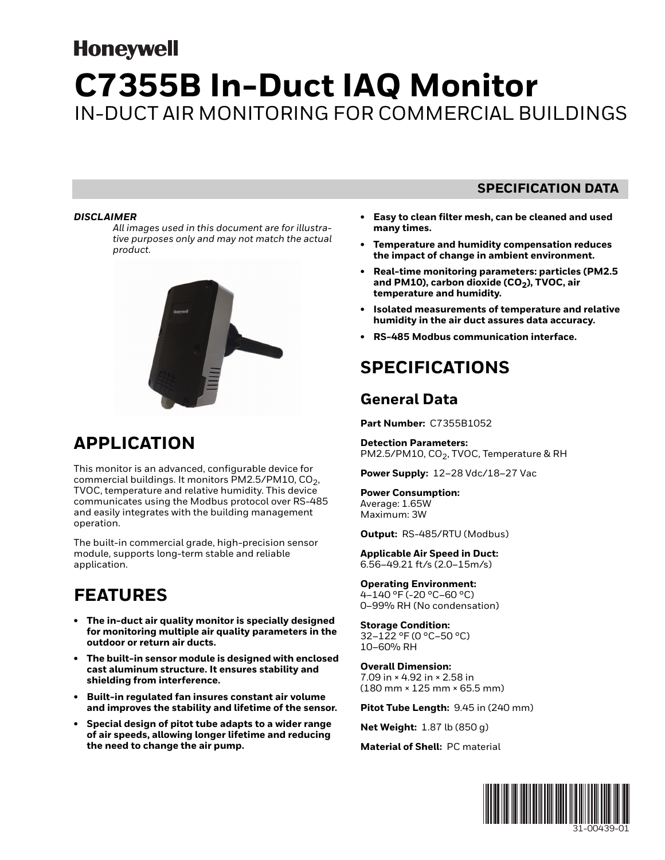# **Honeywell C7355B In-Duct IAQ Monitor** IN-DUCT AIR MONITORING FOR COMMERCIAL BUILDINGS

#### *DISCLAIMER*

*All images used in this document are for illustrative purposes only and may not match the actual product.* 



# **APPLICATION**

This monitor is an advanced, configurable device for commercial buildings. It monitors PM2.5/PM10,  $CO<sub>2</sub>$ , TVOC, temperature and relative humidity. This device communicates using the Modbus protocol over RS-485 and easily integrates with the building management operation.

The built-in commercial grade, high-precision sensor module, supports long-term stable and reliable application.

# **FEATURES**

- **The in-duct air quality monitor is specially designed for monitoring multiple air quality parameters in the outdoor or return air ducts.**
- **The built-in sensor module is designed with enclosed cast aluminum structure. It ensures stability and shielding from interference.**
- **Built-in regulated fan insures constant air volume and improves the stability and lifetime of the sensor.**
- **Special design of pitot tube adapts to a wider range of air speeds, allowing longer lifetime and reducing the need to change the air pump.**

#### **SPECIFICATION DATA**

- **Easy to clean filter mesh, can be cleaned and used many times.**
- **Temperature and humidity compensation reduces the impact of change in ambient environment.**
- **Real-time monitoring parameters: particles (PM2.5**  and PM10), carbon dioxide (CO<sub>2</sub>), TVOC, air **temperature and humidity.**
- **Isolated measurements of temperature and relative humidity in the air duct assures data accuracy.**
- **RS-485 Modbus communication interface.**

# **SPECIFICATIONS**

### **General Data**

**Part Number:** C7355B1052

**Detection Parameters:**  PM2.5/PM10, CO<sub>2</sub>, TVOC, Temperature & RH

**Power Supply:** 12–28 Vdc/18–27 Vac

**Power Consumption:**  Average: 1.65W Maximum: 3W

**Output:** RS-485/RTU (Modbus)

**Applicable Air Speed in Duct:**  6.56–49.21 ft/s (2.0–15m/s)

**Operating Environment:**  4–140 °F (-20 °C–60 °C) 0–99% RH (No condensation)

**Storage Condition:**  32–122 °F (0 °C–50 °C) 10–60% RH

**Overall Dimension:**  7.09 in × 4.92 in × 2.58 in (180 mm × 125 mm × 65.5 mm)

**Pitot Tube Length:** 9.45 in (240 mm)

**Net Weight:** 1.87 lb (850 g)

**Material of Shell:** PC material

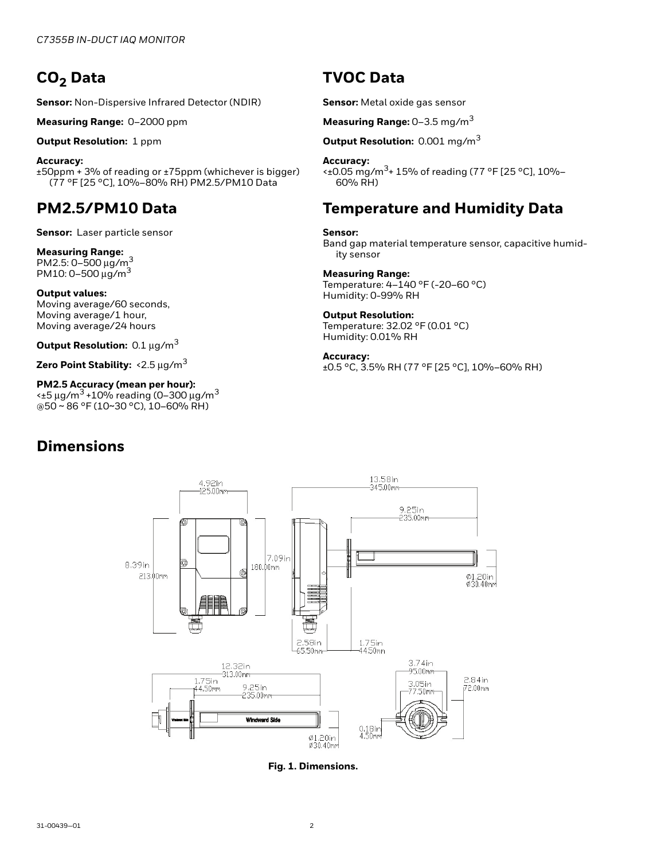## CO<sub>2</sub> Data

**Sensor:** Non-Dispersive Infrared Detector (NDIR)

**Measuring Range:** 0–2000 ppm

**Output Resolution:** 1 ppm

**Accuracy:**  ±50ppm + 3% of reading or ±75ppm (whichever is bigger) (77 °F [25 °C], 10%–80% RH) PM2.5/PM10 Data

### **PM2.5/PM10 Data**

**Sensor:** Laser particle sensor

**Measuring Range:**<br>PM2.5: 0–500 μg/m<sup>3</sup> PM10: 0-500  $\mu$ g/m<sup>3</sup>

**Output values:**  Moving average/60 seconds, Moving average/1 hour, Moving average/24 hours

**Output Resolution:** 0.1 μg/m3

**Zero Point Stability:** <2.5 μg/m3

**PM2.5 Accuracy (mean per hour):**  $\leq$  ±5 μg/m<sup>3</sup> +10% reading (0-300 μg/m<sup>3</sup> @50 ~ 86 °F (10~30 °C), 10–60% RH)

### **Dimensions**

### **TVOC Data**

**Sensor:** Metal oxide gas sensor

**Measuring Range:** 0–3.5 mg/m<sup>3</sup>

**Output Resolution:** 0.001 mg/m3

#### **Accuracy:**

 $\leq$  ±0.05 mg/m<sup>3</sup>+ 15% of reading (77 °F [25 °C], 10%-60% RH)

### **Temperature and Humidity Data**

#### **Sensor:**

Band gap material temperature sensor, capacitive humidity sensor

#### **Measuring Range:**

Temperature: 4–140 °F (-20–60 °C) Humidity: 0-99% RH

#### **Output Resolution:**

Temperature: 32.02 °F (0.01 °C) Humidity: 0.01% RH

#### **Accuracy:**

±0.5 °C, 3.5% RH (77 °F [25 °C], 10%–60% RH)



**Fig. 1. Dimensions.**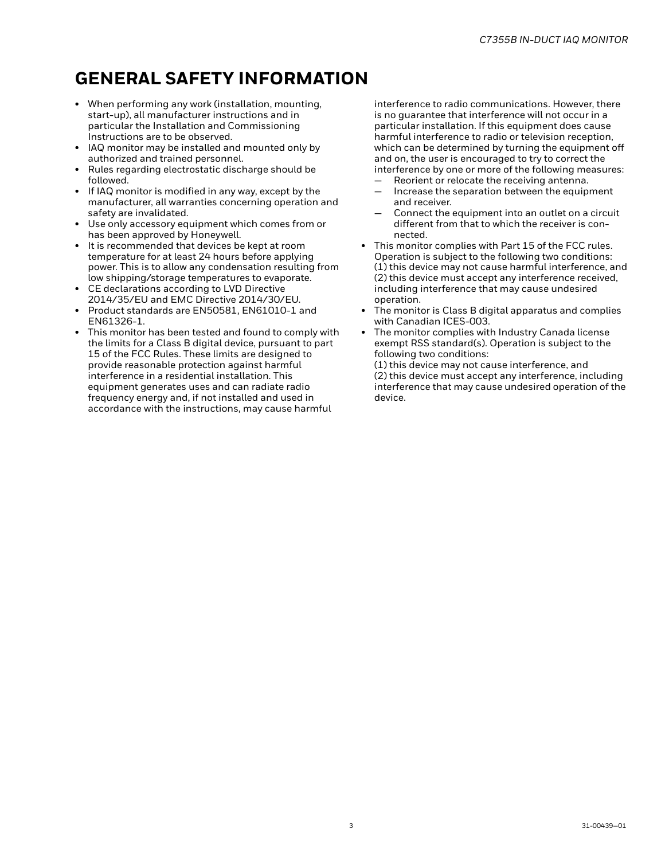# **GENERAL SAFETY INFORMATION**

- When performing any work (installation, mounting, start-up), all manufacturer instructions and in particular the Installation and Commissioning Instructions are to be observed.
- IAQ monitor may be installed and mounted only by authorized and trained personnel.
- Rules regarding electrostatic discharge should be followed.
- If IAQ monitor is modified in any way, except by the manufacturer, all warranties concerning operation and safety are invalidated.
- Use only accessory equipment which comes from or has been approved by Honeywell.
- It is recommended that devices be kept at room temperature for at least 24 hours before applying power. This is to allow any condensation resulting from low shipping/storage temperatures to evaporate.
- CE declarations according to LVD Directive 2014/35/EU and EMC Directive 2014/30/EU.
- Product standards are EN50581, EN61010-1 and EN61326-1.
- This monitor has been tested and found to comply with the limits for a Class B digital device, pursuant to part 15 of the FCC Rules. These limits are designed to provide reasonable protection against harmful interference in a residential installation. This equipment generates uses and can radiate radio frequency energy and, if not installed and used in accordance with the instructions, may cause harmful

interference to radio communications. However, there is no guarantee that interference will not occur in a particular installation. If this equipment does cause harmful interference to radio or television reception, which can be determined by turning the equipment off and on, the user is encouraged to try to correct the interference by one or more of the following measures:

- Reorient or relocate the receiving antenna.
- Increase the separation between the equipment and receiver.
- Connect the equipment into an outlet on a circuit different from that to which the receiver is connected.
- This monitor complies with Part 15 of the FCC rules. Operation is subject to the following two conditions: (1) this device may not cause harmful interference, and (2) this device must accept any interference received, including interference that may cause undesired operation.
- The monitor is Class B digital apparatus and complies with Canadian ICES-003.
- The monitor complies with Industry Canada license exempt RSS standard(s). Operation is subject to the following two conditions:

(1) this device may not cause interference, and (2) this device must accept any interference, including interference that may cause undesired operation of the device.